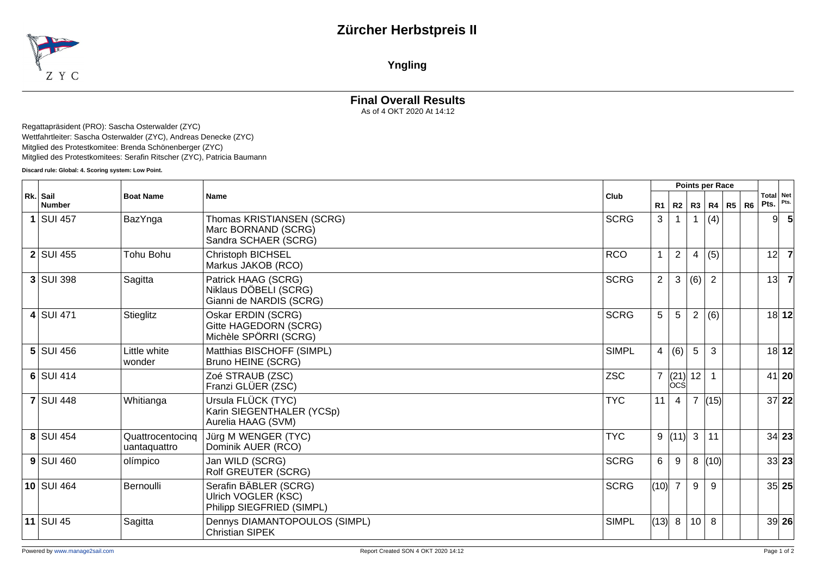## **Zürcher Herbstpreis II**



**Yngling**

## **Final Overall Results** As of 4 OKT 2020 At 14:12

Regattapräsident (PRO): Sascha Osterwalder (ZYC) Wettfahrtleiter: Sascha Osterwalder (ZYC), Andreas Denecke (ZYC) Mitglied des Protestkomitee: Brenda Schönenberger (ZYC) Mitglied des Protestkomitees: Serafin Ritscher (ZYC), Patricia Baumann

**Discard rule: Global: 4. Scoring system: Low Point.**

|                           |                                  |                                                                           |              |                |                  | Points per Race |                |                   |       |                |
|---------------------------|----------------------------------|---------------------------------------------------------------------------|--------------|----------------|------------------|-----------------|----------------|-------------------|-------|----------------|
| Rk. Sail<br><b>Number</b> | <b>Boat Name</b><br><b>Name</b>  | Club                                                                      | R1           | R2             |                  | R3   R4   R5    | R6 k           | Total Net<br>Pts. | Pts.  |                |
| $1$ SUI 457               | BazYnga                          | Thomas KRISTIANSEN (SCRG)<br>Marc BORNAND (SCRG)<br>Sandra SCHAER (SCRG)  | <b>SCRG</b>  | 3              |                  |                 | (4)            |                   | 91    |                |
| $2$ SUI 455               | Tohu Bohu                        | Christoph BICHSEL<br>Markus JAKOB (RCO)                                   | <b>RCO</b>   |                | $\overline{2}$   | 4               | (5)            |                   | 12    | $\overline{7}$ |
| $3$ SUI 398               | Sagitta                          | Patrick HAAG (SCRG)<br>Niklaus DÖBELI (SCRG)<br>Gianni de NARDIS (SCRG)   | <b>SCRG</b>  | $\overline{2}$ | $\sqrt{3}$       | (6)             | $\overline{2}$ |                   | 13    |                |
| $4$ SUI 471               | Stieglitz                        | Oskar ERDIN (SCRG)<br>Gitte HAGEDORN (SCRG)<br>Michèle SPÖRRI (SCRG)      | <b>SCRG</b>  | 5              | 5                | $\overline{2}$  | (6)            |                   |       | 18 12          |
| $5$ SUI 456               | Little white<br>wonder           | Matthias BISCHOFF (SIMPL)<br>Bruno HEINE (SCRG)                           | <b>SIMPL</b> | $4 \mid$       | (6)              | 5               | 3              |                   |       | 18 12          |
| $6$ SUI 414               |                                  | Zoé STRAUB (ZSC)<br>Franzi GLÜER (ZSC)                                    | <b>ZSC</b>   |                | 7  (21) <br>lòcś | 12              |                |                   |       | 41 20          |
| <b>7 SUI 448</b>          | Whitianga                        | Ursula FLÜCK (TYC)<br>Karin SIEGENTHALER (YCSp)<br>Aurelia HAAG (SVM)     | <b>TYC</b>   | 11             | 4                | $\overline{7}$  | (15)           |                   |       | 37 22          |
| 8 SUI 454                 | Quattrocentocing<br>uantaquattro | Jürg M WENGER (TYC)<br>Dominik AUER (RCO)                                 | <b>TYC</b>   |                | 9(11)            | $\mathbf{3}$    | 11             |                   | 34 23 |                |
| $9$ SUI 460               | olímpico                         | Jan WILD (SCRG)<br>Rolf GREUTER (SCRG)                                    | <b>SCRG</b>  | 6              | 9                | 8               | (10)           |                   | 33 23 |                |
| <b>10 SUI 464</b>         | <b>Bernoulli</b>                 | Serafin BÄBLER (SCRG)<br>Ulrich VOGLER (KSC)<br>Philipp SIEGFRIED (SIMPL) | <b>SCRG</b>  | (10)           | $\overline{7}$   | 9               | 9              |                   |       | 35 25          |
| 11 SUI 45                 | Sagitta                          | Dennys DIAMANTOPOULOS (SIMPL)<br><b>Christian SIPEK</b>                   | <b>SIMPL</b> |                | (13) 8           | 10              | 8              |                   |       | 39 26          |